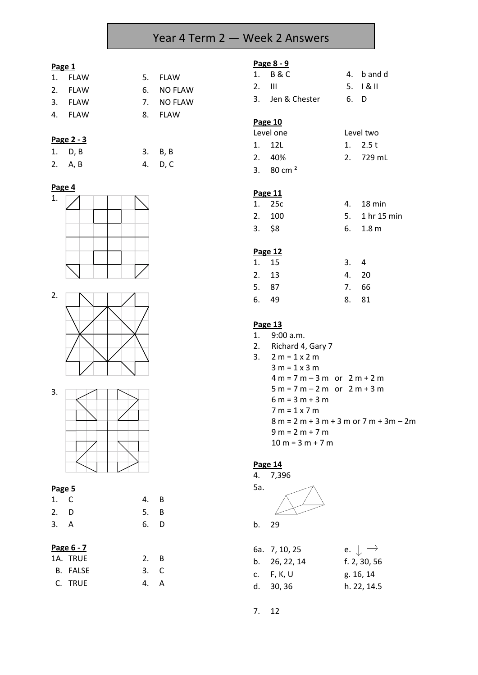# Year 4 Term 2 — Week 2 Answers

### **Page 1**

| 1. FLAW | 5. FLAW    |
|---------|------------|
| 2. FLAW | 6. NO FLAW |
| 3. FLAW | 7. NO FLAW |
| 4. FLAW | 8. FLAW    |
|         |            |

# **Page 2 - 3**

| 1. D, B | 3. B, B |
|---------|---------|
| 2. A, B | 4. D, C |

### **Page 4**







#### **Page 5**

| 1. C | 4. B |  |
|------|------|--|
| 2. D | 5. B |  |
| 3. A | 6. D |  |

# **Page 6 - 7**

| 1A. TRUE | $2. \quad B$ |  |
|----------|--------------|--|
| B. FALSE | 3. C         |  |
| C. TRUE  | 4. A         |  |

#### **Page 8 - 9**

|          | 1. B & C         |      | 4. b and d              |
|----------|------------------|------|-------------------------|
| $2.$ III |                  |      | $5. \quad 18 \text{ m}$ |
|          | 3. Jen & Chester | 6. D |                         |

#### **Page 10**

| Level one |               | Level two |  |  |
|-----------|---------------|-----------|--|--|
|           | 1. 12L        | 1. $2.5t$ |  |  |
|           | 2. 40%        | 2. 729 mL |  |  |
|           | 3. 80 cm $^2$ |           |  |  |

#### **Page 11**

| 1. 25c | 4. 18 min      |
|--------|----------------|
| 2. 100 | 5. 1 hr 15 min |
| 3. S8  | $6.$ 1.8 m     |

# **Page 12**

| 1. 15 | 3.4 |       |
|-------|-----|-------|
| 2. 13 |     | 4. 20 |
| 5. 87 |     | 7. 66 |
| 6. 49 |     | 8. 81 |

### **Page 13**

- 1. 9:00 a.m. 2. Richard 4, Gary 7
- 3.  $2 m = 1 x 2 m$  $3 m = 1 x 3 m$  $4 m = 7 m - 3 m$  or  $2 m + 2 m$  $5 m = 7 m - 2 m$  or  $2 m + 3 m$  $6 m = 3 m + 3 m$ 7 m = 1 x 7 m 8 m = 2 m + 3 m + 3 m or 7 m + 3m – 2m  $9 m = 2 m + 7 m$  $10 m = 3 m + 7 m$

#### **Page 14**

4. 7,396



b. 29

| e. $\downarrow \rightarrow$ |
|-----------------------------|
| f. 2, 30, 56                |
| g. 16, 14                   |
| h. 22, 14.5                 |
|                             |

7. 12